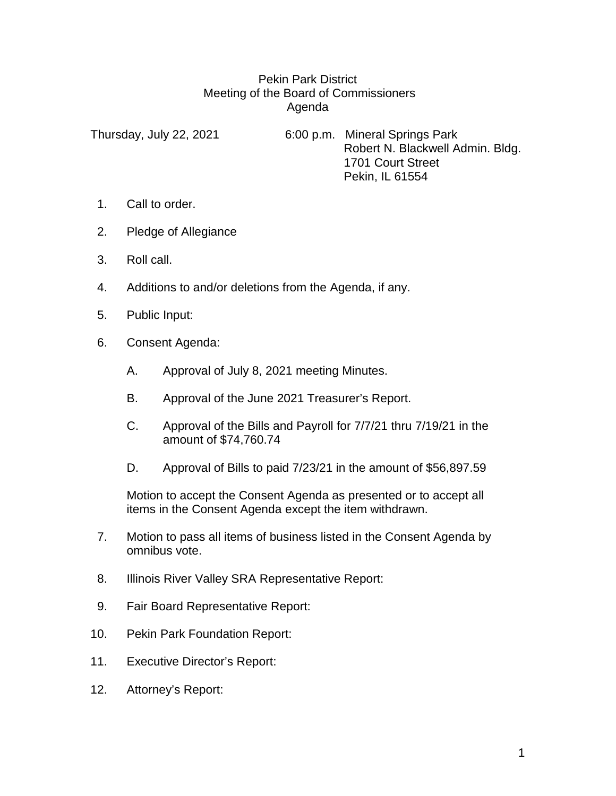## Pekin Park District Meeting of the Board of Commissioners Agenda

Thursday, July 22, 2021 6:00 p.m. Mineral Springs Park Robert N. Blackwell Admin. Bldg. 1701 Court Street Pekin, IL 61554

- 1. Call to order.
- 2. Pledge of Allegiance
- 3. Roll call.
- 4. Additions to and/or deletions from the Agenda, if any.
- 5. Public Input:
- 6. Consent Agenda:
	- A. Approval of July 8, 2021 meeting Minutes.
	- B. Approval of the June 2021 Treasurer's Report.
	- C. Approval of the Bills and Payroll for 7/7/21 thru 7/19/21 in the amount of \$74,760.74
	- D. Approval of Bills to paid 7/23/21 in the amount of \$56,897.59

Motion to accept the Consent Agenda as presented or to accept all items in the Consent Agenda except the item withdrawn.

- 7. Motion to pass all items of business listed in the Consent Agenda by omnibus vote.
- 8. Illinois River Valley SRA Representative Report:
- 9. Fair Board Representative Report:
- 10. Pekin Park Foundation Report:
- 11. Executive Director's Report:
- 12. Attorney's Report: